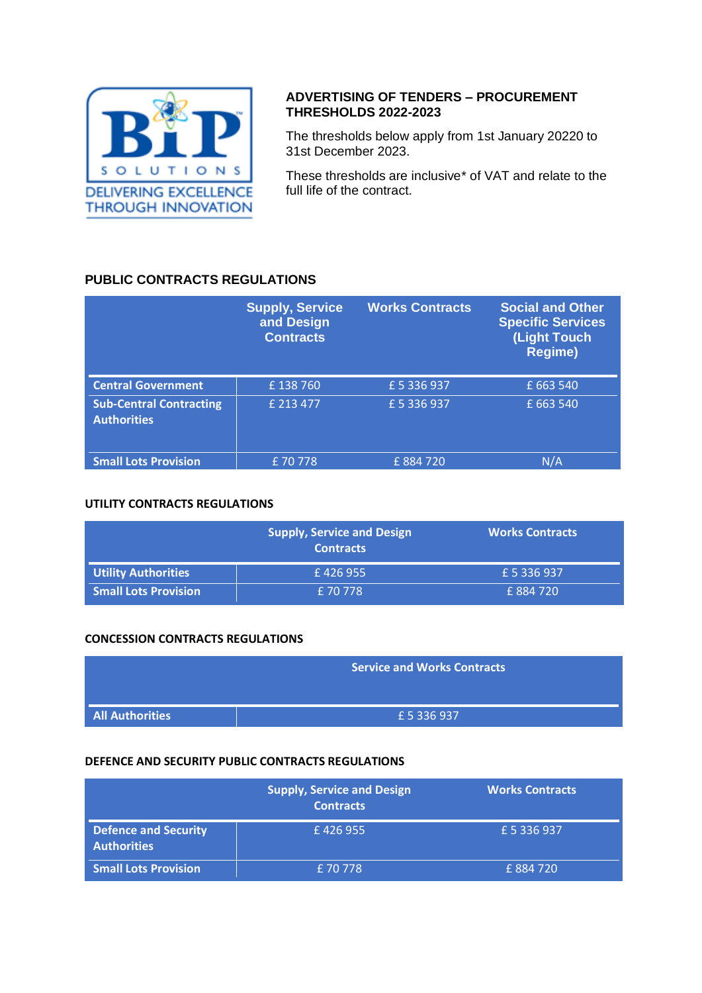

### **ADVERTISING OF TENDERS – PROCUREMENT THRESHOLDS 2022-2023**

The thresholds below apply from 1st January 20220 to 31st December 2023.

These thresholds are inclusive\* of VAT and relate to the full life of the contract.

# **PUBLIC CONTRACTS REGULATIONS**

|                                                      | <b>Supply, Service</b><br>and Design<br><b>Contracts</b> | <b>Works Contracts</b> | <b>Social and Other</b><br><b>Specific Services</b><br>(Light Touch<br><b>Regime)</b> |
|------------------------------------------------------|----------------------------------------------------------|------------------------|---------------------------------------------------------------------------------------|
| <b>Central Government</b>                            | £138760                                                  | £ 5 336 937            | £ 663 540                                                                             |
| <b>Sub-Central Contracting</b><br><b>Authorities</b> | £ 213 477                                                | £ 5 336 937            | £ 663 540                                                                             |
| <b>Small Lots Provision</b>                          | £70778                                                   | £884720                | N/A                                                                                   |

## **UTILITY CONTRACTS REGULATIONS**

|                             | <b>Supply, Service and Design!</b><br><b>Contracts</b> | <b>Works Contracts</b> |
|-----------------------------|--------------------------------------------------------|------------------------|
| <b>Utility Authorities</b>  | £426955                                                | £ 5 336 937            |
| <b>Small Lots Provision</b> | £70778                                                 | £884720                |

### **CONCESSION CONTRACTS REGULATIONS**

|                        | <b>Service and Works Contracts</b> |  |
|------------------------|------------------------------------|--|
|                        |                                    |  |
| <b>All Authorities</b> | £ 5 336 937                        |  |

### **DEFENCE AND SECURITY PUBLIC CONTRACTS REGULATIONS**

|                                                   | <b>Supply, Service and Design</b><br>Contracts | <b>Works Contracts</b> |
|---------------------------------------------------|------------------------------------------------|------------------------|
| <b>Defence and Security</b><br><b>Authorities</b> | £426955                                        | £ 5 336 937            |
| <b>Small Lots Provision</b>                       | £70778                                         | £884720                |